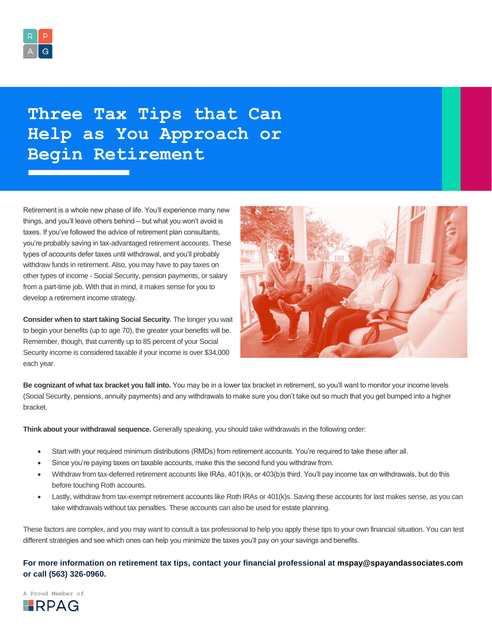

## **Three Tax Tips that Can Help as You Approach or Begin Retirement**

Retirement is a whole new phase of life. You'll experience many new things, and you'll leave others behind – but what you won't avoid is taxes. If you've followed the advice of retirement plan consultants, you're probably saving in tax-advantaged retirement accounts. These types of accounts defer taxes until withdrawal, and you'll probably withdraw funds in retirement. Also, you may have to pay taxes on other types of income - Social Security, pension payments, or salary from a part-time job. With that in mind, it makes sense for you to develop a retirement income strategy.

**Consider when to start taking Social Security.** The longer you wait to begin your benefits (up to age 70), the greater your benefits will be. Remember, though, that currently up to 85 percent of your Social Security income is considered taxable if your income is over \$34,000 each year.



**Be cognizant of what tax bracket you fall into.** You may be in a lower tax bracket in retirement, so you'll want to monitor your income levels (Social Security, pensions, annuity payments) and any withdrawals to make sure you don't take out so much that you get bumped into a higher bracket.

**Think about your withdrawal sequence.** Generally speaking, you should take withdrawals in the following order:

- Start with your required minimum distributions (RMDs) from retirement accounts. You're required to take these after all.
- Since you're paying taxes on taxable accounts, make this the second fund you withdraw from.
- Withdraw from tax-deferred retirement accounts like IRAs, 401(k)s, or 403(b)s third. You'll pay income tax on withdrawals, but do this before touching Roth accounts.
- Lastly, withdraw from tax-exempt retirement accounts like Roth IRAs or 401(k)s. Saving these accounts for last makes sense, as you can take withdrawals without tax penalties. These accounts can also be used for estate planning.

These factors are complex, and you may want to consult a tax professional to help you apply these tips to your own financial situation. You can test different strategies and see which ones can help you minimize the taxes you'll pay on your savings and benefits.

## **For more information on retirement tax tips, contact your financial professional at [mspay@spayandassociates.com](mailto:mspay@spayandassociates.com) or call (563) 326-0960.**

**A Proud Member of**